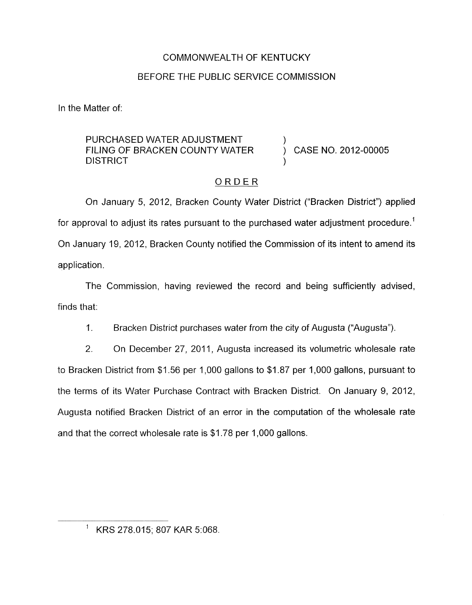## COMMONWEALTH OF KENTUCKY

## BEFORE THE PUBLIC SERVICE COMMISSION

In the Matter of:

PURCHASED WATER ADJUSTMENT **DISTRICT** FILING OF BRACKEN COUNTY WATER  $\overrightarrow{)}$  CASE NO. 2012-00005

# ORDER

On January 5, 2012, Bracken County Water District ("Bracken District") applied for approval to adjust its rates pursuant to the purchased water adjustment procedure.<sup>1</sup> On January 19, 2012, Bracken County notified the Commission of its intent to amend its application.

The Commission, having reviewed the record and being sufficiently advised, finds that:

1. Bracken District purchases water from the city *of* Augusta ("Augusta").

*2.* On December 27, 2011, Augusta increased its volumetric wholesale rate to Bracken District from \$1.56 per 1,000 gallons to \$1.87 per 1,000 gallons, pursuant to the terms of its Water Purchase Contract with Bracken District. On January 9, 2012, Augusta notified Bracken District of an error in the computation of the wholesale rate and that the correct wholesale rate is \$1.78 per 1,000 gallons.

<sup>&#</sup>x27; KRS 278.015; 807 KAR 5:068.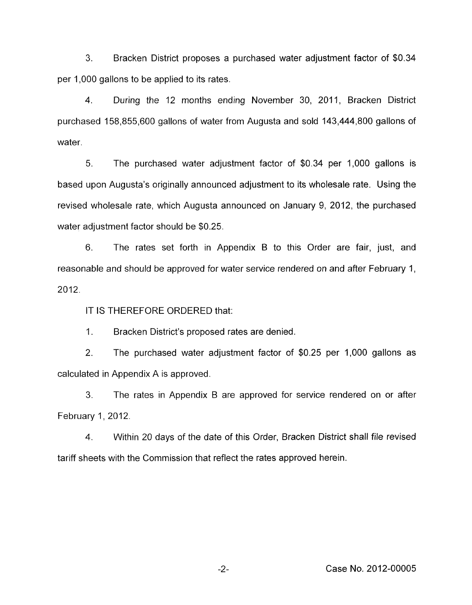**3.** Bracken District proposes a purchased water adjustment factor of \$0.34 per 1,000 gallons to be applied to its rates.

4. During the 12 months ending November 30, 2011, Bracken District purchased 158,855,600 gallons of water from Augusta and sold 143,444,800 gallons of water.

*5.* The purchased water adjustment factor of \$0.34 per 1,000 gallons is based upon Augusta's originally announced adjustment to its wholesale rate. Using the revised wholesale rate, which Augusta announced on January 9, 2012, the purchased water adjustment factor should be \$0.25.

6. The rates set forth in Appendix B to this Order are fair, just, and reasonable and should be approved for water service rendered on and after February 1, 2012.

IT **IS** THEREFORE ORDERED that:

1. Bracken District's proposed rates are denied.

2. The purchased water adjustment factor of \$0.25 per 1,000 gallons as calculated in Appendix A is approved.

*3.* The rates in Appendix B are approved for service rendered on or after February 1, 2012.

**4.** Within 20 days of the date of this Order, Bracken District shall file revised tariff sheets with the Commission that reflect the rates approved herein.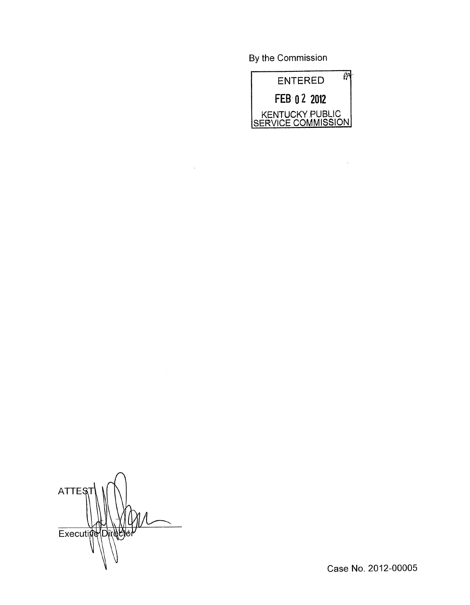By the Commission

 $\Delta \sim 10^{11}$ 



 $\mathcal{A}^{\mathcal{A}}$ 

ATTES Executing Direc

Case No. 2012-00005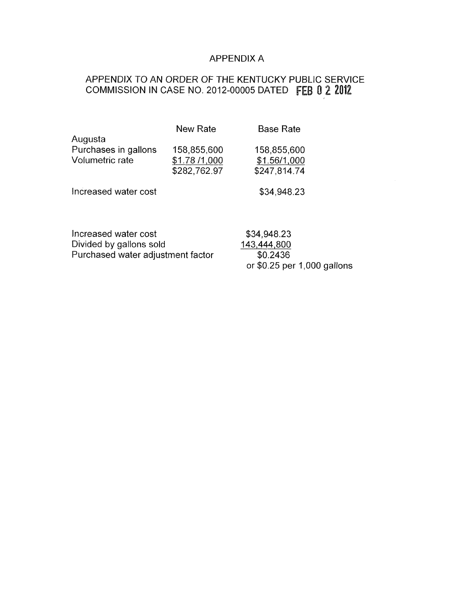# APPENDIX A

or \$0.25 per 1,000 gallons

# APPENDIX 'TO AN ORDER OF THE KENTUCKY PUBLIC SERVICE COMMISSION IN CASE NO. 2012-00005 DATED FEB 0 2 2012

|                                   | <b>New Rate</b> | <b>Base Rate</b> |
|-----------------------------------|-----------------|------------------|
| Augusta                           |                 |                  |
| Purchases in gallons              | 158,855,600     | 158,855,600      |
| Volumetric rate                   | \$1.78 /1,000   | \$1.56/1,000     |
|                                   | \$282,762.97    | \$247,814.74     |
| Increased water cost              |                 | \$34,948.23      |
| Increased water cost              |                 | \$34,948.23      |
| Divided by gallons sold           |                 | 143,444,800      |
| Purchased water adjustment factor |                 | \$0.2436         |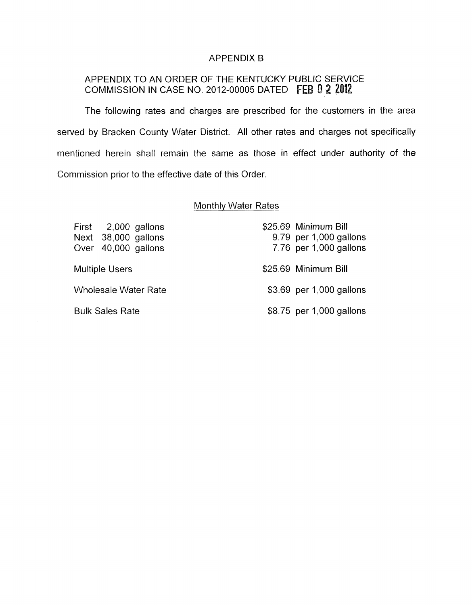#### APPENDIX B

# APPENDIX TO AN ORDER OF THE KENTUCKY PUBLIC SERVICE COMMISSION IN CASE NO. 2012-00005 DATED **FEB 0 2 2012**

The following rates and charges are prescribed for the customers in the area served by Bracken County Water District. All other rates and charges not specifically mentioned herein shall remain the same as those in effect under authority of the Commission prior to the effective date of this Order.

### Monthlv Water Rates

| First 2,000 gallons<br>Next 38,000 gallons<br>Over 40,000 gallons | \$25.69 Minimum Bill<br>9.79 per 1,000 gallons<br>7.76 per 1,000 gallons |
|-------------------------------------------------------------------|--------------------------------------------------------------------------|
| <b>Multiple Users</b>                                             | \$25.69 Minimum Bill                                                     |
| <b>Wholesale Water Rate</b>                                       | \$3.69 per 1,000 gallons                                                 |
| <b>Bulk Sales Rate</b>                                            | \$8.75 per 1,000 gallons                                                 |